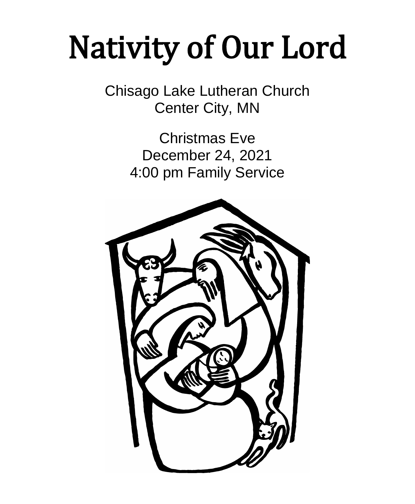# Nativity of Our Lord

Chisago Lake Lutheran Church Center City, MN

> Christmas Eve December 24, 2021 4:00 pm Family Service

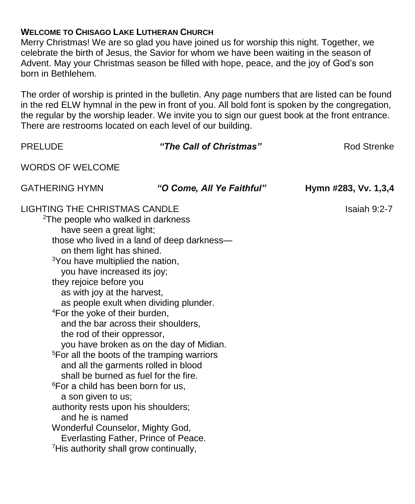# **WELCOME TO CHISAGO LAKE LUTHERAN CHURCH**

Merry Christmas! We are so glad you have joined us for worship this night. Together, we celebrate the birth of Jesus, the Savior for whom we have been waiting in the season of Advent. May your Christmas season be filled with hope, peace, and the joy of God's son born in Bethlehem.

The order of worship is printed in the bulletin. Any page numbers that are listed can be found in the red ELW hymnal in the pew in front of you. All bold font is spoken by the congregation, the regular by the worship leader. We invite you to sign our guest book at the front entrance. There are restrooms located on each level of our building.

| <b>PRELUDE</b>                                                                                                                                                                                                                                                                                                                                                                                                                                                                                                                                                                                                                                                                                                                                                                                                                                                                                                                                                    | "The Call of Christmas"   | <b>Rod Strenke</b>   |
|-------------------------------------------------------------------------------------------------------------------------------------------------------------------------------------------------------------------------------------------------------------------------------------------------------------------------------------------------------------------------------------------------------------------------------------------------------------------------------------------------------------------------------------------------------------------------------------------------------------------------------------------------------------------------------------------------------------------------------------------------------------------------------------------------------------------------------------------------------------------------------------------------------------------------------------------------------------------|---------------------------|----------------------|
| <b>WORDS OF WELCOME</b>                                                                                                                                                                                                                                                                                                                                                                                                                                                                                                                                                                                                                                                                                                                                                                                                                                                                                                                                           |                           |                      |
| <b>GATHERING HYMN</b>                                                                                                                                                                                                                                                                                                                                                                                                                                                                                                                                                                                                                                                                                                                                                                                                                                                                                                                                             | "O Come, All Ye Faithful" | Hymn #283, Vv. 1,3,4 |
| <b>LIGHTING THE CHRISTMAS CANDLE</b><br><sup>2</sup> The people who walked in darkness<br>have seen a great light;<br>those who lived in a land of deep darkness-<br>on them light has shined.<br><sup>3</sup> You have multiplied the nation,<br>you have increased its joy;<br>they rejoice before you<br>as with joy at the harvest,<br>as people exult when dividing plunder.<br><sup>4</sup> For the yoke of their burden,<br>and the bar across their shoulders,<br>the rod of their oppressor,<br>you have broken as on the day of Midian.<br><sup>5</sup> For all the boots of the tramping warriors<br>and all the garments rolled in blood<br>shall be burned as fuel for the fire.<br><sup>6</sup> For a child has been born for us,<br>a son given to us;<br>authority rests upon his shoulders;<br>and he is named<br>Wonderful Counselor, Mighty God,<br>Everlasting Father, Prince of Peace.<br><sup>7</sup> His authority shall grow continually, |                           | Isaiah 9:2-7         |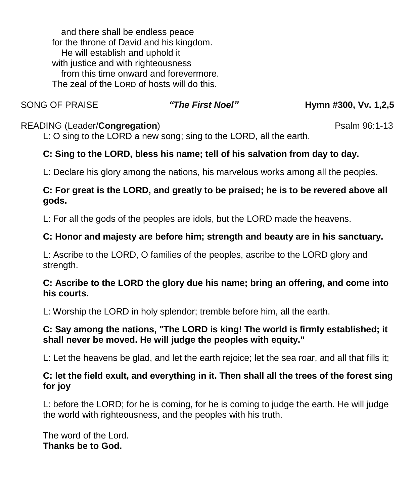and there shall be endless peace for the throne of David and his kingdom. He will establish and uphold it with justice and with righteousness from this time onward and forevermore. The zeal of the LORD of hosts will do this.

SONG OF PRAISE *"The First Noel"* **Hymn #300, Vv. 1,2,5**

# READING (Leader/**Congregation**) **Properties and Properties and Properties and Properties and Properties and Properties and Properties and Properties and Properties and Properties and Properties and Properties and Propertie**

L: O sing to the LORD a new song; sing to the LORD, all the earth.

# **C: Sing to the LORD, bless his name; tell of his salvation from day to day.**

L: Declare his glory among the nations, his marvelous works among all the peoples.

# **C: For great is the LORD, and greatly to be praised; he is to be revered above all gods.**

L: For all the gods of the peoples are idols, but the LORD made the heavens.

# **C: Honor and majesty are before him; strength and beauty are in his sanctuary.**

L: Ascribe to the LORD, O families of the peoples, ascribe to the LORD glory and strength.

# **C: Ascribe to the LORD the glory due his name; bring an offering, and come into his courts.**

L: Worship the LORD in holy splendor; tremble before him, all the earth.

# **C: Say among the nations, "The LORD is king! The world is firmly established; it shall never be moved. He will judge the peoples with equity."**

L: Let the heavens be glad, and let the earth rejoice; let the sea roar, and all that fills it;

# **C: let the field exult, and everything in it. Then shall all the trees of the forest sing for joy**

L: before the LORD; for he is coming, for he is coming to judge the earth. He will judge the world with righteousness, and the peoples with his truth.

The word of the Lord. **Thanks be to God.**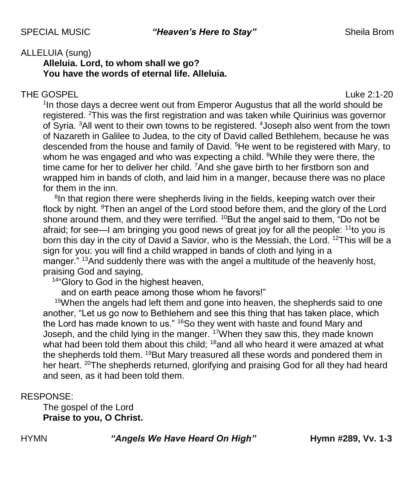## ALLELUIA (sung)

**Alleluia. Lord, to whom shall we go? You have the words of eternal life. Alleluia.**

#### THE GOSPEL **THE GOSPE**

<sup>1</sup>In those days a decree went out from Emperor Augustus that all the world should be registered. <sup>2</sup>This was the first registration and was taken while Quirinius was governor of Syria. <sup>3</sup>All went to their own towns to be registered. <sup>4</sup> Joseph also went from the town of Nazareth in Galilee to Judea, to the city of David called Bethlehem, because he was descended from the house and family of David.<sup>5</sup>He went to be registered with Mary, to whom he was engaged and who was expecting a child. <sup>6</sup>While they were there, the time came for her to deliver her child. <sup>7</sup>And she gave birth to her firstborn son and wrapped him in bands of cloth, and laid him in a manger, because there was no place for them in the inn.

<sup>8</sup>In that region there were shepherds living in the fields, keeping watch over their flock by night. <sup>9</sup>Then an angel of the Lord stood before them, and the glory of the Lord shone around them, and they were terrified. <sup>10</sup>But the angel said to them, "Do not be afraid; for see—I am bringing you good news of great joy for all the people:  $11$ to you is born this day in the city of David a Savior, who is the Messiah, the Lord. <sup>12</sup>This will be a sign for you: you will find a child wrapped in bands of cloth and lying in a manger." <sup>13</sup>And suddenly there was with the angel a multitude of the heavenly host, praising God and saying,

<sup>14"</sup>Glory to God in the highest heaven,

and on earth peace among those whom he favors!"

<sup>15</sup>When the angels had left them and gone into heaven, the shepherds said to one another, "Let us go now to Bethlehem and see this thing that has taken place, which the Lord has made known to us." <sup>16</sup>So they went with haste and found Mary and Joseph, and the child lying in the manger. <sup>17</sup>When they saw this, they made known what had been told them about this child;  $18$  and all who heard it were amazed at what the shepherds told them. <sup>19</sup>But Mary treasured all these words and pondered them in her heart. <sup>20</sup>The shepherds returned, glorifying and praising God for all they had heard and seen, as it had been told them.

#### RESPONSE:

The gospel of the Lord **Praise to you, O Christ.**

HYMN *"Angels We Have Heard On High"* **Hymn #289, Vv. 1-3**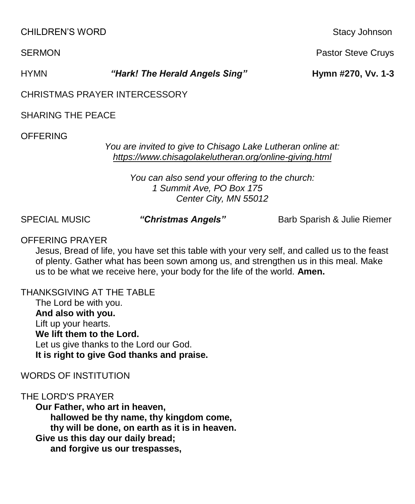CHILDREN'S WORD **Stacy Johnson** Stacy Johnson

SERMON **Pastor Steve Cruys Pastor Steve Cruys Pastor Steve Cruys** 

HYMN *"Hark! The Herald Angels Sing"* **Hymn #270, Vv. 1-3**

CHRISTMAS PRAYER INTERCESSORY

SHARING THE PEACE

**OFFFRING** 

*You are invited to give to Chisago Lake Lutheran online at: <https://www.chisagolakelutheran.org/online-giving.html>*

*You can also send your offering to the church: 1 Summit Ave, PO Box 175 Center City, MN 55012*

SPECIAL MUSIC *"Christmas Angels"* Barb Sparish & Julie Riemer

OFFERING PRAYER

Jesus, Bread of life, you have set this table with your very self, and called us to the feast of plenty. Gather what has been sown among us, and strengthen us in this meal. Make us to be what we receive here, your body for the life of the world. **Amen.**

THANKSGIVING AT THE TABLE

The Lord be with you. **And also with you.** Lift up your hearts. **We lift them to the Lord.** Let us give thanks to the Lord our God. **It is right to give God thanks and praise.**

WORDS OF INSTITUTION

THE LORD'S PRAYER

**Our Father, who art in heaven, hallowed be thy name, thy kingdom come, thy will be done, on earth as it is in heaven. Give us this day our daily bread; and forgive us our trespasses,**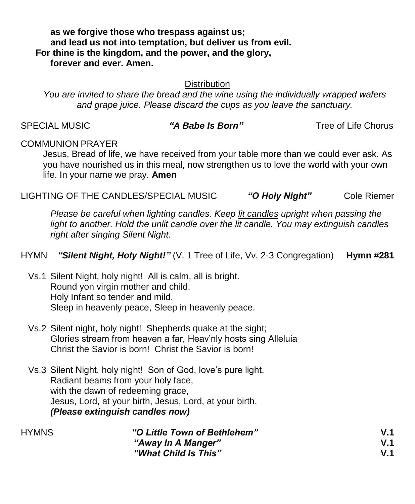**as we forgive those who trespass against us; and lead us not into temptation, but deliver us from evil. For thine is the kingdom, and the power, and the glory, forever and ever. Amen.**

#### **Distribution**

*You are invited to share the bread and the wine using the individually wrapped wafers and grape juice. Please discard the cups as you leave the sanctuary.*

SPECIAL MUSIC *"A Babe Is Born"* Tree of Life Chorus

## COMMUNION PRAYER

Jesus, Bread of life, we have received from your table more than we could ever ask. As you have nourished us in this meal, now strengthen us to love the world with your own life. In your name we pray. **Amen**

LIGHTING OF THE CANDLES/SPECIAL MUSIC *"O Holy Night"* Cole Riemer

*Please be careful when lighting candles. Keep lit candles upright when passing the light to another. Hold the unlit candle over the lit candle. You may extinguish candles right after singing Silent Night.*

HYMN *"Silent Night, Holy Night!"* (V. 1 Tree of Life, Vv. 2-3 Congregation)**Hymn #281** 

- Vs.1 Silent Night, holy night! All is calm, all is bright. Round yon virgin mother and child. Holy Infant so tender and mild. Sleep in heavenly peace, Sleep in heavenly peace.
- Vs.2 Silent night, holy night! Shepherds quake at the sight; Glories stream from heaven a far, Heav'nly hosts sing Alleluia Christ the Savior is born! Christ the Savior is born!
- Vs.3 Silent Night, holy night! Son of God, love's pure light. Radiant beams from your holy face, with the dawn of redeeming grace, Jesus, Lord, at your birth, Jesus, Lord, at your birth. *(Please extinguish candles now)*

| <b>HYMNS</b> | "O Little Town of Bethlehem" | V.1 |
|--------------|------------------------------|-----|
|              | "Away In A Manger"           | V 1 |
|              | "What Child Is This"         | V 1 |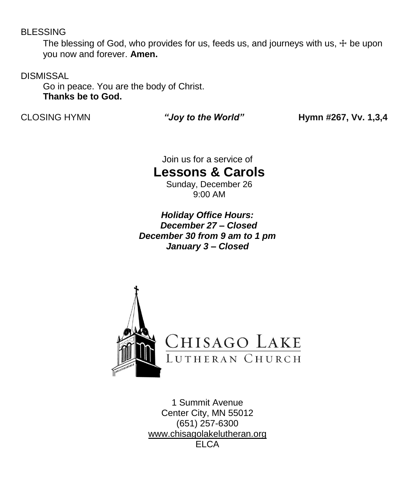#### BLESSING

The blessing of God, who provides for us, feeds us, and journeys with us,  $\pm$  be upon you now and forever. **Amen.**

**DISMISSAL** 

Go in peace. You are the body of Christ. **Thanks be to God.**

CLOSING HYMN *"Joy to the World"* **Hymn #267, Vv. 1,3,4**

Join us for a service of

**Lessons & Carols**

Sunday, December 26 9:00 AM

*Holiday Office Hours: December 27 – Closed December 30 from 9 am to 1 pm January 3 – Closed*



1 Summit Avenue Center City, MN 55012 (651) 257-6300 [www.chisagolakelutheran.org](http://www.chisagolakelutheran.org/) **ELCA**